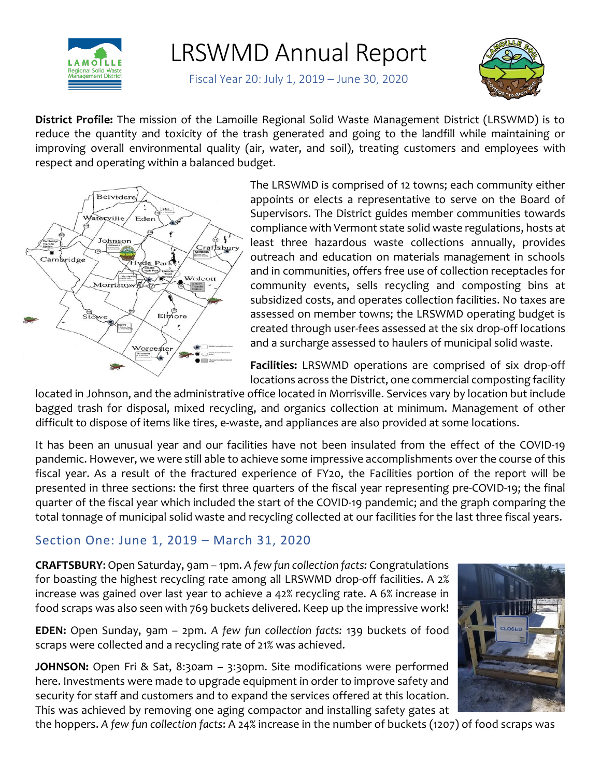

## LRSWMD Annual Report

Fiscal Year 20: July 1, 2019 – June 30, 2020



**District Profile:** The mission of the Lamoille Regional Solid Waste Management District (LRSWMD) is to reduce the quantity and toxicity of the trash generated and going to the landfill while maintaining or improving overall environmental quality (air, water, and soil), treating customers and employees with respect and operating within a balanced budget.



The LRSWMD is comprised of 12 towns; each community either appoints or elects a representative to serve on the Board of Supervisors. The District guides member communities towards compliance with Vermont state solid waste regulations, hosts at least three hazardous waste collections annually, provides outreach and education on materials management in schools and in communities, offers free use of collection receptacles for community events, sells recycling and composting bins at subsidized costs, and operates collection facilities. No taxes are assessed on member towns; the LRSWMD operating budget is created through user-fees assessed at the six drop-off locations and a surcharge assessed to haulers of municipal solid waste.

**Facilities:** LRSWMD operations are comprised of six drop-off locations across the District, one commercial composting facility

located in Johnson, and the administrative office located in Morrisville. Services vary by location but include bagged trash for disposal, mixed recycling, and organics collection at minimum. Management of other difficult to dispose of items like tires, e-waste, and appliances are also provided at some locations.

It has been an unusual year and our facilities have not been insulated from the effect of the COVID-19 pandemic. However, we were still able to achieve some impressive accomplishments over the course of this fiscal year. As a result of the fractured experience of FY20, the Facilities portion of the report will be presented in three sections: the first three quarters of the fiscal year representing pre-COVID-19; the final quarter of the fiscal year which included the start of the COVID-19 pandemic; and the graph comparing the total tonnage of municipal solid waste and recycling collected at our facilities for the last three fiscal years.

## Section One: June 1, 2019 – March 31, 2020

**CRAFTSBURY**: Open Saturday, 9am – 1pm. *A few fun collection facts:* Congratulations for boasting the highest recycling rate among all LRSWMD drop-off facilities. A 2% increase was gained over last year to achieve a 42% recycling rate. A 6% increase in food scraps was also seen with 769 buckets delivered. Keep up the impressive work!

**EDEN:** Open Sunday, 9am – 2pm. *A few fun collection facts:* 139 buckets of food scraps were collected and a recycling rate of 21% was achieved.

**JOHNSON:** Open Fri & Sat, 8:30am - 3:30pm. Site modifications were performed here. Investments were made to upgrade equipment in order to improve safety and security for staff and customers and to expand the services offered at this location. This was achieved by removing one aging compactor and installing safety gates at



the hoppers. *A few fun collection facts*: A 24% increase in the number of buckets (1207) of food scraps was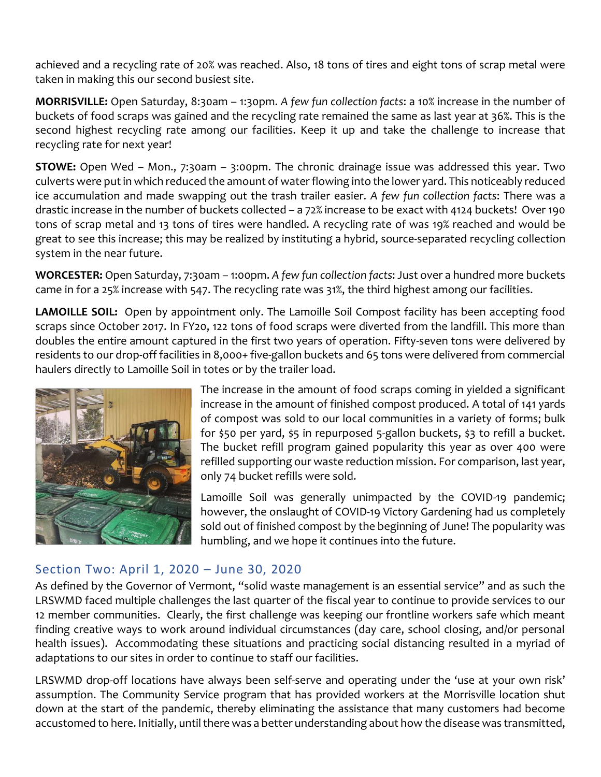achieved and a recycling rate of 20% was reached. Also, 18 tons of tires and eight tons of scrap metal were taken in making this our second busiest site.

**MORRISVILLE:** Open Saturday, 8:30am – 1:30pm. *A few fun collection facts*: a 10% increase in the number of buckets of food scraps was gained and the recycling rate remained the same as last year at 36%. This is the second highest recycling rate among our facilities. Keep it up and take the challenge to increase that recycling rate for next year!

**STOWE:** Open Wed – Mon., 7:30am – 3:00pm. The chronic drainage issue was addressed this year. Two culverts were put in which reduced the amount of water flowing into the lower yard. This noticeably reduced ice accumulation and made swapping out the trash trailer easier. *A few fun collection facts*: There was a drastic increase in the number of buckets collected – a 72% increase to be exact with 4124 buckets! Over 190 tons of scrap metal and 13 tons of tires were handled. A recycling rate of was 19% reached and would be great to see this increase; this may be realized by instituting a hybrid, source-separated recycling collection system in the near future.

**WORCESTER:** Open Saturday, 7:30am – 1:00pm. *A few fun collection facts*: Just over a hundred more buckets came in for a 25% increase with 547. The recycling rate was 31%, the third highest among our facilities.

**LAMOILLE SOIL:** Open by appointment only. The Lamoille Soil Compost facility has been accepting food scraps since October 2017. In FY20, 122 tons of food scraps were diverted from the landfill. This more than doubles the entire amount captured in the first two years of operation. Fifty-seven tons were delivered by residents to our drop-off facilities in 8,000+ five-gallon buckets and 65 tons were delivered from commercial haulers directly to Lamoille Soil in totes or by the trailer load.



The increase in the amount of food scraps coming in yielded a significant increase in the amount of finished compost produced. A total of 141 yards of compost was sold to our local communities in a variety of forms; bulk for \$50 per yard, \$5 in repurposed 5-gallon buckets, \$3 to refill a bucket. The bucket refill program gained popularity this year as over 400 were refilled supporting our waste reduction mission. For comparison, last year, only 74 bucket refills were sold.

Lamoille Soil was generally unimpacted by the COVID-19 pandemic; however, the onslaught of COVID-19 Victory Gardening had us completely sold out of finished compost by the beginning of June! The popularity was humbling, and we hope it continues into the future.

## Section Two: April 1, 2020 – June 30, 2020

As defined by the Governor of Vermont, "solid waste management is an essential service" and as such the LRSWMD faced multiple challenges the last quarter of the fiscal year to continue to provide services to our 12 member communities. Clearly, the first challenge was keeping our frontline workers safe which meant finding creative ways to work around individual circumstances (day care, school closing, and/or personal health issues). Accommodating these situations and practicing social distancing resulted in a myriad of adaptations to our sites in order to continue to staff our facilities.

LRSWMD drop-off locations have always been self-serve and operating under the 'use at your own risk' assumption. The Community Service program that has provided workers at the Morrisville location shut down at the start of the pandemic, thereby eliminating the assistance that many customers had become accustomed to here. Initially, until there was a better understanding about how the disease was transmitted,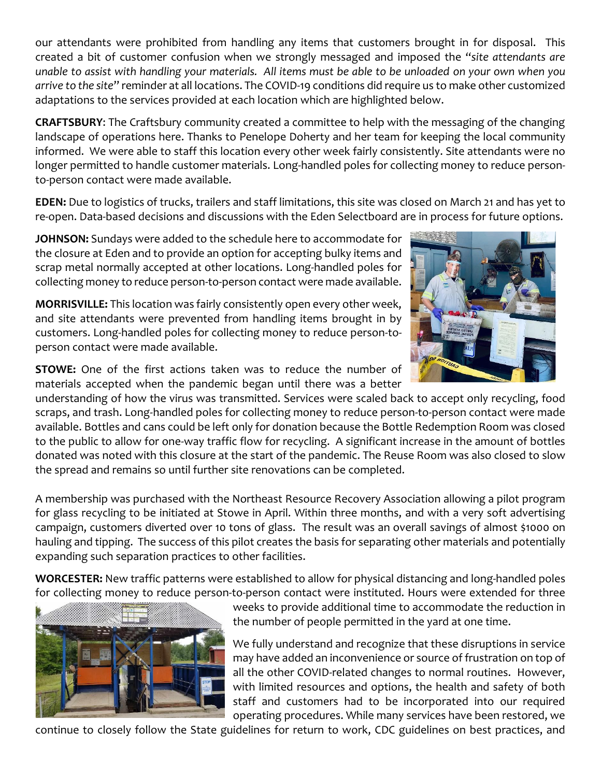our attendants were prohibited from handling any items that customers brought in for disposal. This created a bit of customer confusion when we strongly messaged and imposed the "*site attendants are unable to assist with handling your materials. All items must be able to be unloaded on your own when you arrive to the site*" reminder at all locations. The COVID-19 conditions did require us to make other customized adaptations to the services provided at each location which are highlighted below.

**CRAFTSBURY**: The Craftsbury community created a committee to help with the messaging of the changing landscape of operations here. Thanks to Penelope Doherty and her team for keeping the local community informed. We were able to staff this location every other week fairly consistently. Site attendants were no longer permitted to handle customer materials. Long-handled poles for collecting money to reduce personto-person contact were made available.

**EDEN:** Due to logistics of trucks, trailers and staff limitations, this site was closed on March 21 and has yet to re-open. Data-based decisions and discussions with the Eden Selectboard are in process for future options.

**JOHNSON:** Sundays were added to the schedule here to accommodate for the closure at Eden and to provide an option for accepting bulky items and scrap metal normally accepted at other locations. Long-handled poles for collecting money to reduce person-to-person contact were made available.

**MORRISVILLE:** This location was fairly consistently open every other week, and site attendants were prevented from handling items brought in by customers. Long-handled poles for collecting money to reduce person-toperson contact were made available.

**STOWE:** One of the first actions taken was to reduce the number of materials accepted when the pandemic began until there was a better



A membership was purchased with the Northeast Resource Recovery Association allowing a pilot program for glass recycling to be initiated at Stowe in April. Within three months, and with a very soft advertising campaign, customers diverted over 10 tons of glass. The result was an overall savings of almost \$1000 on hauling and tipping. The success of this pilot creates the basis for separating other materials and potentially expanding such separation practices to other facilities.

**WORCESTER:** New traffic patterns were established to allow for physical distancing and long-handled poles for collecting money to reduce person-to-person contact were instituted. Hours were extended for three



weeks to provide additional time to accommodate the reduction in the number of people permitted in the yard at one time.

We fully understand and recognize that these disruptions in service may have added an inconvenience or source of frustration on top of all the other COVID-related changes to normal routines. However, with limited resources and options, the health and safety of both staff and customers had to be incorporated into our required operating procedures. While many services have been restored, we

continue to closely follow the State guidelines for return to work, CDC guidelines on best practices, and

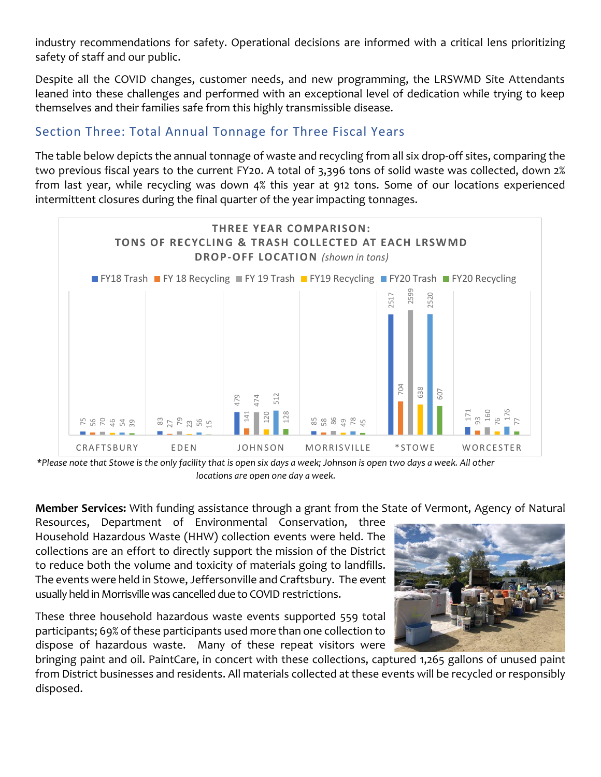industry recommendations for safety. Operational decisions are informed with a critical lens prioritizing safety of staff and our public.

Despite all the COVID changes, customer needs, and new programming, the LRSWMD Site Attendants leaned into these challenges and performed with an exceptional level of dedication while trying to keep themselves and their families safe from this highly transmissible disease.

## Section Three: Total Annual Tonnage for Three Fiscal Years

The table below depicts the annual tonnage of waste and recycling from all six drop-off sites, comparing the two previous fiscal years to the current FY20. A total of 3,396 tons of solid waste was collected, down 2% from last year, while recycling was down 4% this year at 912 tons. Some of our locations experienced intermittent closures during the final quarter of the year impacting tonnages.



*\*Please note that Stowe is the only facility that is open six days a week; Johnson is open two days a week. All other locations are open one day a week.*

**Member Services:** With funding assistance through a grant from the State of Vermont, Agency of Natural

Resources, Department of Environmental Conservation, three Household Hazardous Waste (HHW) collection events were held. The collections are an effort to directly support the mission of the District to reduce both the volume and toxicity of materials going to landfills. The events were held in Stowe, Jeffersonville and Craftsbury. The event usually held in Morrisville was cancelled due to COVID restrictions.

These three household hazardous waste events supported 559 total participants; 69% of these participants used more than one collection to dispose of hazardous waste. Many of these repeat visitors were



bringing paint and oil. PaintCare, in concert with these collections, captured 1,265 gallons of unused paint from District businesses and residents. All materials collected at these events will be recycled or responsibly disposed.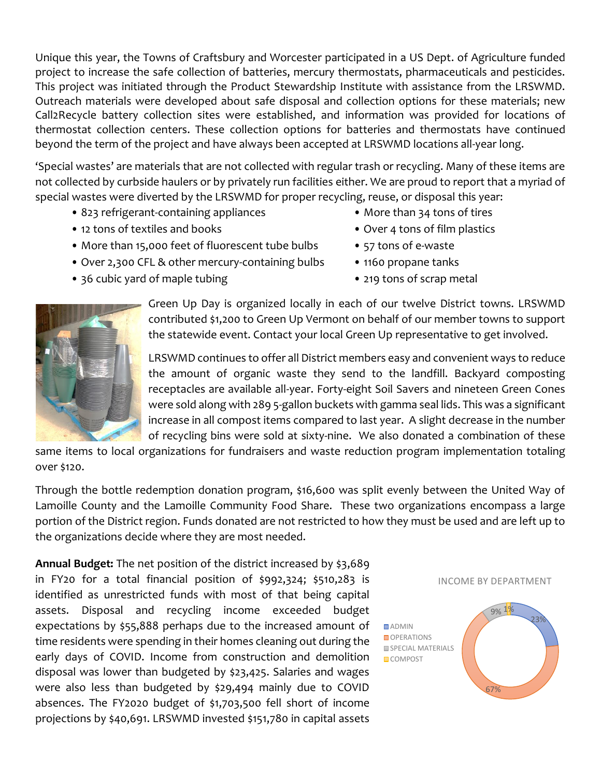Unique this year, the Towns of Craftsbury and Worcester participated in a US Dept. of Agriculture funded project to increase the safe collection of batteries, mercury thermostats, pharmaceuticals and pesticides. This project was initiated through the Product Stewardship Institute with assistance from the LRSWMD. Outreach materials were developed about safe disposal and collection options for these materials; new Call2Recycle battery collection sites were established, and information was provided for locations of thermostat collection centers. These collection options for batteries and thermostats have continued beyond the term of the project and have always been accepted at LRSWMD locations all-year long.

'Special wastes' are materials that are not collected with regular trash or recycling. Many of these items are not collected by curbside haulers or by privately run facilities either. We are proud to report that a myriad of special wastes were diverted by the LRSWMD for proper recycling, reuse, or disposal this year:

- 823 refrigerant-containing appliances More than 34 tons of tires
- 12 tons of textiles and books Over 4 tons of film plastics
- More than 15,000 feet of fluorescent tube bulbs 57 tons of e-waste
- Over 2,300 CFL & other mercury-containing bulbs 1160 propane tanks
- 36 cubic yard of maple tubing example the state of scrap metal example 219 tons of scrap metal
- 
- 
- 
- 
- 



Green Up Day is organized locally in each of our twelve District towns. LRSWMD contributed \$1,200 to Green Up Vermont on behalf of our member towns to support the statewide event. Contact your local Green Up representative to get involved.

LRSWMD continues to offer all District members easy and convenient ways to reduce the amount of organic waste they send to the landfill. Backyard composting receptacles are available all-year. Forty-eight Soil Savers and nineteen Green Cones were sold along with 289 5-gallon buckets with gamma seal lids. This was a significant increase in all compost items compared to last year. A slight decrease in the number of recycling bins were sold at sixty-nine. We also donated a combination of these

same items to local organizations for fundraisers and waste reduction program implementation totaling over \$120.

Through the bottle redemption donation program, \$16,600 was split evenly between the United Way of Lamoille County and the Lamoille Community Food Share. These two organizations encompass a large portion of the District region. Funds donated are not restricted to how they must be used and are left up to the organizations decide where they are most needed.

**Annual Budget:** The net position of the district increased by \$3,689 in FY20 for a total financial position of \$992,324; \$510,283 is identified as unrestricted funds with most of that being capital assets. Disposal and recycling income exceeded budget expectations by \$55,888 perhaps due to the increased amount of time residents were spending in their homes cleaning out during the early days of COVID. Income from construction and demolition disposal was lower than budgeted by \$23,425. Salaries and wages were also less than budgeted by \$29,494 mainly due to COVID absences. The FY2020 budget of \$1,703,500 fell short of income projections by \$40,691. LRSWMD invested \$151,780 in capital assets



67%

23%

**DADMIN** OPERATIONS SPECIAL MATERIALS **COMPOST**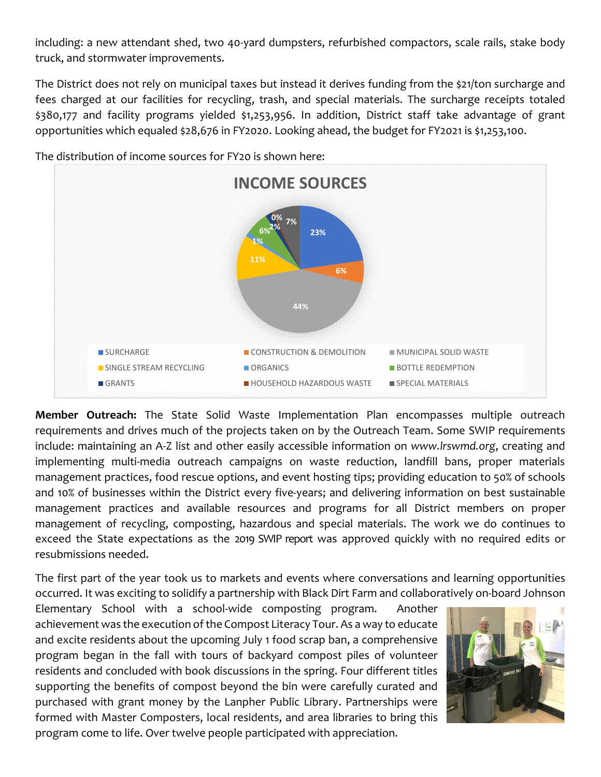including: a new attendant shed, two 40-yard dumpsters, refurbished compactors, scale rails, stake body truck, and stormwater improvements.

The District does not rely on municipal taxes but instead it derives funding from the \$21/ton surcharge and fees charged at our facilities for recycling, trash, and special materials. The surcharge receipts totaled \$380,177 and facility programs yielded \$1,253,956. In addition, District staff take advantage of grant opportunities which equaled \$28,676 in FY2020. Looking ahead, the budget for FY2021 is \$1,253,100.



The distribution of income sources for FY20 is shown here:

**Member Outreach:** The State Solid Waste Implementation Plan encompasses multiple outreach requirements and drives much of the projects taken on by the Outreach Team. Some SWIP requirements include: maintaining an A-Z list and other easily accessible information on *www.lrswmd.org*, creating and implementing multi-media outreach campaigns on waste reduction, landfill bans, proper materials management practices, food rescue options, and event hosting tips; providing education to 50% of schools and 10% of businesses within the District every five-years; and delivering information on best sustainable management practices and available resources and programs for all District members on proper management of recycling, composting, hazardous and special materials. The work we do continues to exceed the State expectations as the 2019 SWIP report was approved quickly with no required edits or resubmissions needed.

The first part of the year took us to markets and events where conversations and learning opportunities occurred. It was exciting to solidify a partnership with Black Dirt Farm and collaboratively on-board Johnson

Elementary School with a school-wide composting program. Another achievement was the execution of the Compost Literacy Tour. As a way to educate and excite residents about the upcoming July 1 food scrap ban, a comprehensive program began in the fall with tours of backyard compost piles of volunteer residents and concluded with book discussions in the spring. Four different titles supporting the benefits of compost beyond the bin were carefully curated and purchased with grant money by the Lanpher Public Library. Partnerships were formed with Master Composters, local residents, and area libraries to bring this program come to life. Over twelve people participated with appreciation.